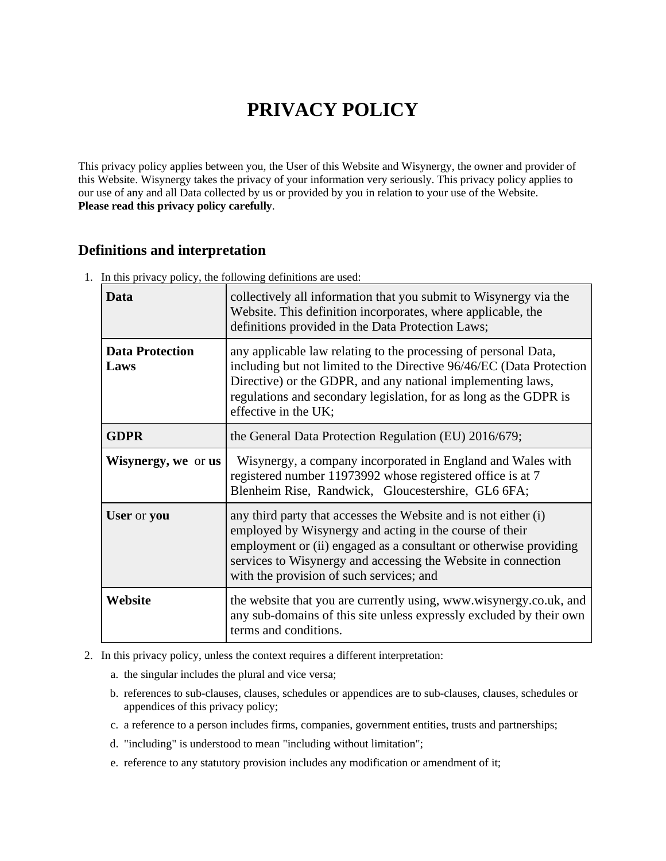# **PRIVACY POLICY**

This privacy policy applies between you, the User of this Website and Wisynergy, the owner and provider of this Website. Wisynergy takes the privacy of your information very seriously. This privacy policy applies to our use of any and all Data collected by us or provided by you in relation to your use of the Website. **Please read this privacy policy carefully**.

## **Definitions and interpretation**

1. In this privacy policy, the following definitions are used:

| Data                           | collectively all information that you submit to Wisynergy via the<br>Website. This definition incorporates, where applicable, the<br>definitions provided in the Data Protection Laws;                                                                                                                       |
|--------------------------------|--------------------------------------------------------------------------------------------------------------------------------------------------------------------------------------------------------------------------------------------------------------------------------------------------------------|
| <b>Data Protection</b><br>Laws | any applicable law relating to the processing of personal Data,<br>including but not limited to the Directive 96/46/EC (Data Protection<br>Directive) or the GDPR, and any national implementing laws,<br>regulations and secondary legislation, for as long as the GDPR is<br>effective in the UK;          |
| <b>GDPR</b>                    | the General Data Protection Regulation (EU) 2016/679;                                                                                                                                                                                                                                                        |
| <b>Wisynergy, we or us</b>     | Wisynergy, a company incorporated in England and Wales with<br>registered number 11973992 whose registered office is at 7<br>Blenheim Rise, Randwick, Gloucestershire, GL6 6FA;                                                                                                                              |
| User or you                    | any third party that accesses the Website and is not either (i)<br>employed by Wisynergy and acting in the course of their<br>employment or (ii) engaged as a consultant or otherwise providing<br>services to Wisynergy and accessing the Website in connection<br>with the provision of such services; and |
| Website                        | the website that you are currently using, www.wisynergy.co.uk, and<br>any sub-domains of this site unless expressly excluded by their own<br>terms and conditions.                                                                                                                                           |

- 2. In this privacy policy, unless the context requires a different interpretation:
	- a. the singular includes the plural and vice versa;
	- b. references to sub-clauses, clauses, schedules or appendices are to sub-clauses, clauses, schedules or appendices of this privacy policy;
	- c. a reference to a person includes firms, companies, government entities, trusts and partnerships;
	- d. "including" is understood to mean "including without limitation";
	- e. reference to any statutory provision includes any modification or amendment of it;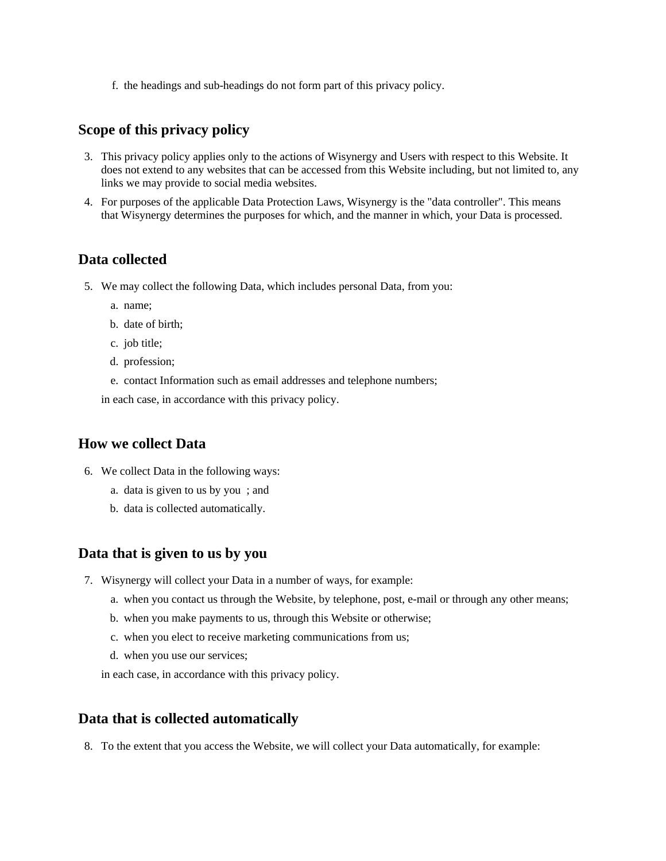f. the headings and sub-headings do not form part of this privacy policy.

## **Scope of this privacy policy**

- 3. This privacy policy applies only to the actions of Wisynergy and Users with respect to this Website. It does not extend to any websites that can be accessed from this Website including, but not limited to, any links we may provide to social media websites.
- 4. For purposes of the applicable Data Protection Laws, Wisynergy is the "data controller". This means that Wisynergy determines the purposes for which, and the manner in which, your Data is processed.

## **Data collected**

- 5. We may collect the following Data, which includes personal Data, from you:
	- a. name;
	- b. date of birth;
	- c. job title;
	- d. profession;
	- e. contact Information such as email addresses and telephone numbers;

in each case, in accordance with this privacy policy.

#### **How we collect Data**

- 6. We collect Data in the following ways:
	- a. data is given to us by you ; and
	- b. data is collected automatically.

#### **Data that is given to us by you**

- 7. Wisynergy will collect your Data in a number of ways, for example:
	- a. when you contact us through the Website, by telephone, post, e-mail or through any other means;
	- b. when you make payments to us, through this Website or otherwise;
	- c. when you elect to receive marketing communications from us;
	- d. when you use our services;

in each case, in accordance with this privacy policy.

#### **Data that is collected automatically**

8. To the extent that you access the Website, we will collect your Data automatically, for example: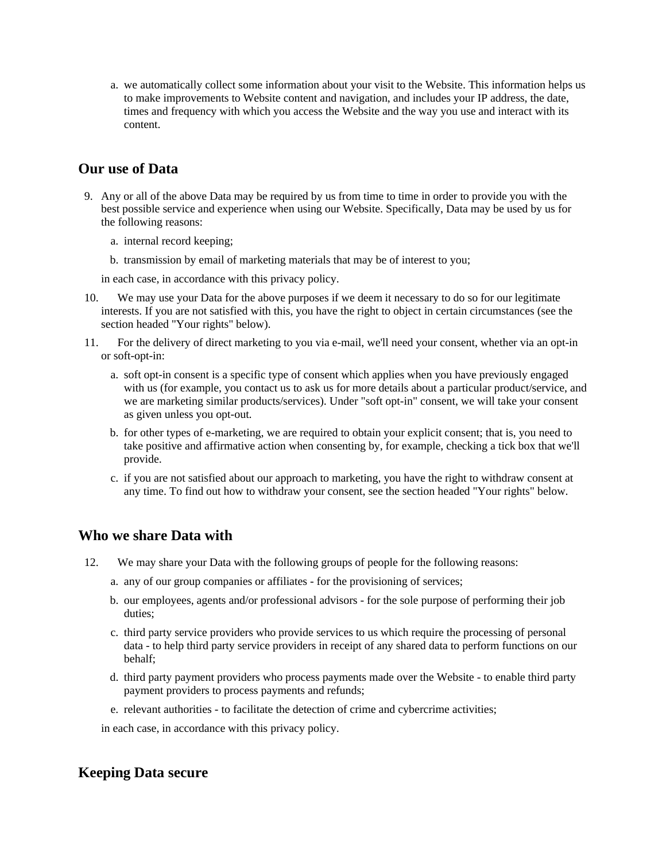a. we automatically collect some information about your visit to the Website. This information helps us to make improvements to Website content and navigation, and includes your IP address, the date, times and frequency with which you access the Website and the way you use and interact with its content.

## **Our use of Data**

- 9. Any or all of the above Data may be required by us from time to time in order to provide you with the best possible service and experience when using our Website. Specifically, Data may be used by us for the following reasons:
	- a. internal record keeping;
	- b. transmission by email of marketing materials that may be of interest to you;

in each case, in accordance with this privacy policy.

- 10. We may use your Data for the above purposes if we deem it necessary to do so for our legitimate interests. If you are not satisfied with this, you have the right to object in certain circumstances (see the section headed "Your rights" below).
- 11. For the delivery of direct marketing to you via e-mail, we'll need your consent, whether via an opt-in or soft-opt-in:
	- a. soft opt-in consent is a specific type of consent which applies when you have previously engaged with us (for example, you contact us to ask us for more details about a particular product/service, and we are marketing similar products/services). Under "soft opt-in" consent, we will take your consent as given unless you opt-out.
	- b. for other types of e-marketing, we are required to obtain your explicit consent; that is, you need to take positive and affirmative action when consenting by, for example, checking a tick box that we'll provide.
	- c. if you are not satisfied about our approach to marketing, you have the right to withdraw consent at any time. To find out how to withdraw your consent, see the section headed "Your rights" below.

## **Who we share Data with**

- 12. We may share your Data with the following groups of people for the following reasons:
	- a. any of our group companies or affiliates for the provisioning of services;
	- b. our employees, agents and/or professional advisors for the sole purpose of performing their job duties;
	- c. third party service providers who provide services to us which require the processing of personal data - to help third party service providers in receipt of any shared data to perform functions on our behalf;
	- d. third party payment providers who process payments made over the Website to enable third party payment providers to process payments and refunds;
	- e. relevant authorities to facilitate the detection of crime and cybercrime activities;

in each case, in accordance with this privacy policy.

# **Keeping Data secure**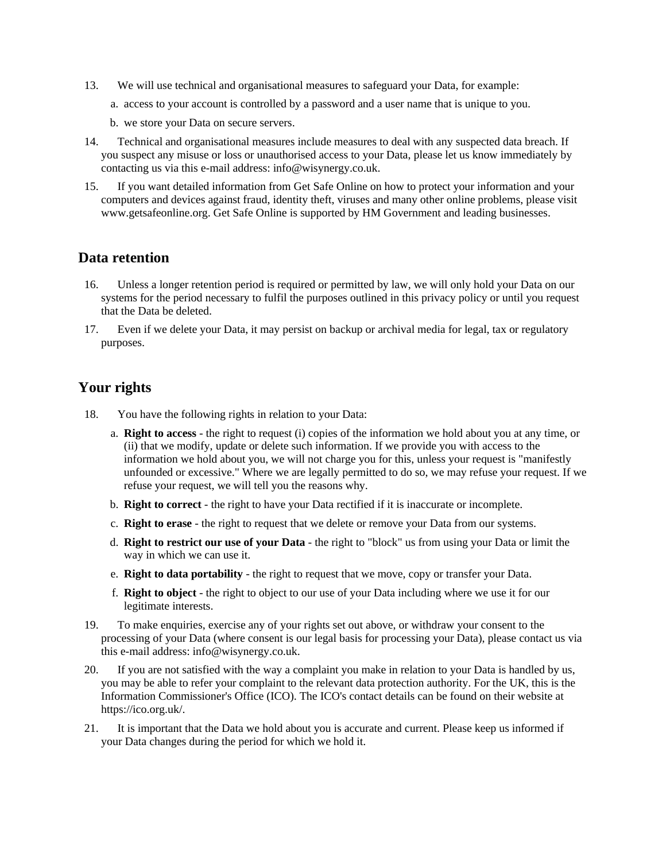- 13. We will use technical and organisational measures to safeguard your Data, for example:
	- a. access to your account is controlled by a password and a user name that is unique to you.
	- b. we store your Data on secure servers.
- 14. Technical and organisational measures include measures to deal with any suspected data breach. If you suspect any misuse or loss or unauthorised access to your Data, please let us know immediately by contacting us via this e-mail address: info@wisynergy.co.uk.
- 15. If you want detailed information from Get Safe Online on how to protect your information and your computers and devices against fraud, identity theft, viruses and many other online problems, please visit www.getsafeonline.org. Get Safe Online is supported by HM Government and leading businesses.

#### **Data retention**

- 16. Unless a longer retention period is required or permitted by law, we will only hold your Data on our systems for the period necessary to fulfil the purposes outlined in this privacy policy or until you request that the Data be deleted.
- 17. Even if we delete your Data, it may persist on backup or archival media for legal, tax or regulatory purposes.

## **Your rights**

- 18. You have the following rights in relation to your Data:
	- a. **Right to access** the right to request (i) copies of the information we hold about you at any time, or (ii) that we modify, update or delete such information. If we provide you with access to the information we hold about you, we will not charge you for this, unless your request is "manifestly unfounded or excessive." Where we are legally permitted to do so, we may refuse your request. If we refuse your request, we will tell you the reasons why.
	- b. **Right to correct** the right to have your Data rectified if it is inaccurate or incomplete.
	- c. **Right to erase** the right to request that we delete or remove your Data from our systems.
	- d. **Right to restrict our use of your Data** the right to "block" us from using your Data or limit the way in which we can use it.
	- e. **Right to data portability** the right to request that we move, copy or transfer your Data.
	- f. **Right to object** the right to object to our use of your Data including where we use it for our legitimate interests.
- 19. To make enquiries, exercise any of your rights set out above, or withdraw your consent to the processing of your Data (where consent is our legal basis for processing your Data), please contact us via this e-mail address: info@wisynergy.co.uk.
- 20. If you are not satisfied with the way a complaint you make in relation to your Data is handled by us, you may be able to refer your complaint to the relevant data protection authority. For the UK, this is the Information Commissioner's Office (ICO). The ICO's contact details can be found on their website at https://ico.org.uk/.
- 21. It is important that the Data we hold about you is accurate and current. Please keep us informed if your Data changes during the period for which we hold it.